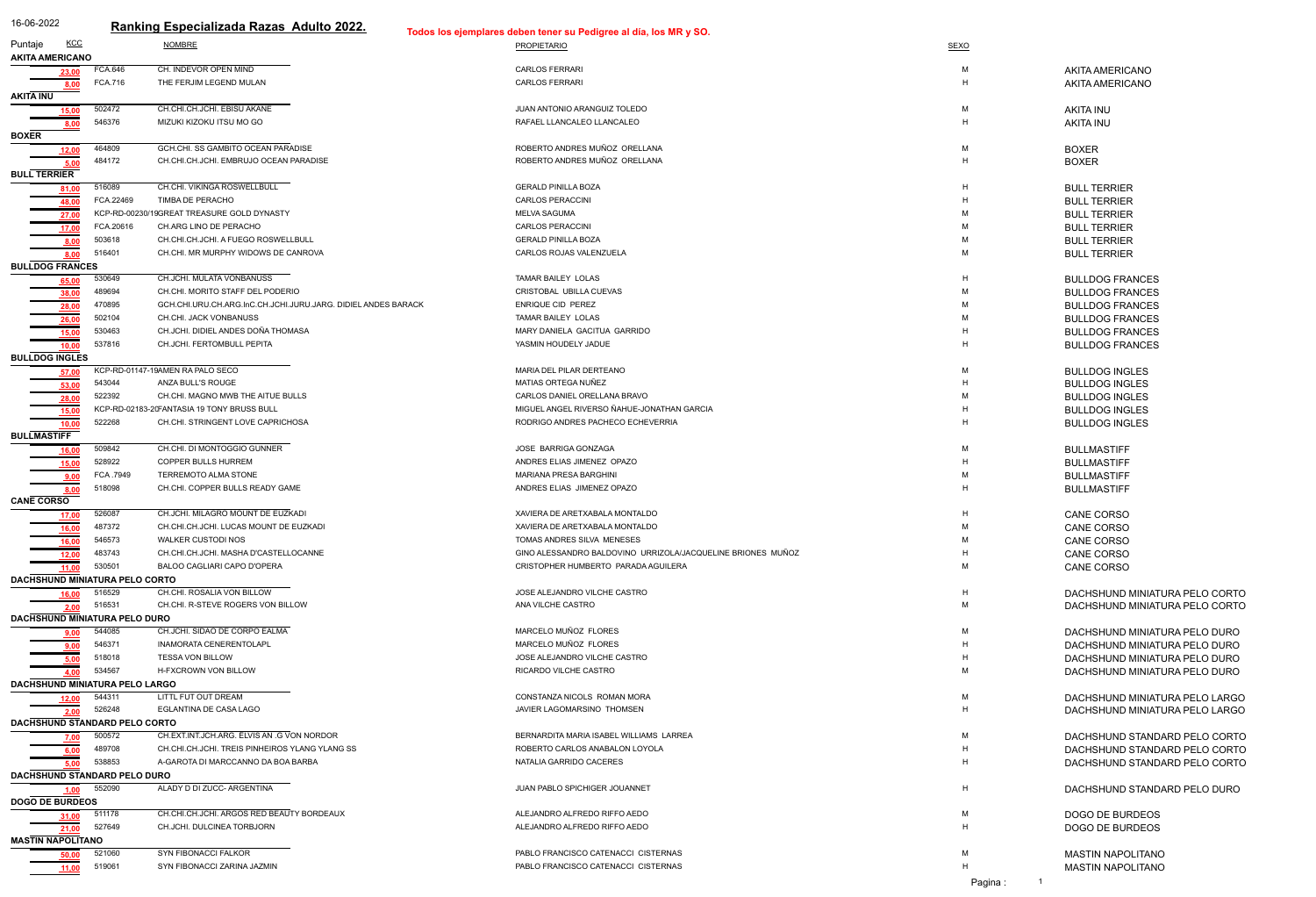| 16-06-2022                                                                  |                | Ranking Especializada Razas Adulto 2022.                      | Todos los ejemplares deben tener su Pedigree al día, los MR y SO. |      |                                |
|-----------------------------------------------------------------------------|----------------|---------------------------------------------------------------|-------------------------------------------------------------------|------|--------------------------------|
| <u>KCC</u><br>Puntaje                                                       |                | <b>NOMBRE</b>                                                 | <b>PROPIETARIO</b>                                                | SEXO |                                |
| <b>AKITA AMERICANO</b>                                                      |                |                                                               |                                                                   |      |                                |
| 23,00                                                                       | <b>FCA.646</b> | CH. INDEVOR OPEN MIND                                         | <b>CARLOS FERRARI</b>                                             | M    | <b>AKITA AMERICANO</b>         |
|                                                                             | <b>FCA.716</b> | THE FERJIM LEGEND MULAN                                       | <b>CARLOS FERRARI</b>                                             | H    | <b>AKITA AMERICANO</b>         |
| <b>AKITA INU</b>                                                            |                |                                                               |                                                                   |      |                                |
| 15,00                                                                       | 502472         | CH.CHI.CH.JCHI. EBISU AKANE                                   | JUAN ANTONIO ARANGUIZ TOLEDO                                      | М    | <b>AKITA INU</b>               |
|                                                                             | 546376         | MIZUKI KIZOKU ITSU MO GO                                      | RAFAEL LLANCALEO LLANCALEO                                        | H    | <b>AKITA INU</b>               |
| <b>BOXER</b>                                                                |                |                                                               |                                                                   |      |                                |
| 12,00                                                                       | 464809         | GCH.CHI. SS GAMBITO OCEAN PARADISE                            | ROBERTO ANDRES MUÑOZ ORELLANA                                     | м    | <b>BOXER</b>                   |
| 5,00                                                                        | 484172         | CH.CHI.CH.JCHI. EMBRUJO OCEAN PARADISE                        | ROBERTO ANDRES MUÑOZ ORELLANA                                     | H    | <b>BOXER</b>                   |
| <b>BULL TERRIER</b>                                                         |                |                                                               |                                                                   |      |                                |
|                                                                             | 516089         | CH.CHI. VIKINGA ROSWELLBULL                                   | <b>GERALD PINILLA BOZA</b>                                        | H    | <b>BULL TERRIER</b>            |
| 48,00                                                                       | FCA.22469      | TIMBA DE PERACHO                                              | <b>CARLOS PERACCINI</b>                                           | H    | <b>BULL TERRIER</b>            |
| 27,00                                                                       |                | KCP-RD-00230/19GREAT TREASURE GOLD DYNASTY                    | <b>MELVA SAGUMA</b>                                               | м    | <b>BULL TERRIER</b>            |
| 17,00                                                                       | FCA.20616      | CH.ARG LINO DE PERACHO                                        | <b>CARLOS PERACCINI</b>                                           | м    | <b>BULL TERRIER</b>            |
| 8,00                                                                        | 503618         | CH.CHI.CH.JCHI. A FUEGO ROSWELLBULL                           | <b>GERALD PINILLA BOZA</b>                                        | м    | <b>BULL TERRIER</b>            |
| 8,00                                                                        | 516401         | CH.CHI. MR MURPHY WIDOWS DE CANROVA                           | CARLOS ROJAS VALENZUELA                                           | м    | <b>BULL TERRIER</b>            |
| <b>BULLDOG FRANCES</b>                                                      |                |                                                               |                                                                   |      |                                |
| 65,00                                                                       | 530649         | CH.JCHI. MULATA VONBANUSS                                     | <b>TAMAR BAILEY LOLAS</b>                                         | Н    | <b>BULLDOG FRANCES</b>         |
| 38,00                                                                       | 489694         | CH.CHI. MORITO STAFF DEL PODERIO                              | CRISTOBAL UBILLA CUEVAS                                           | м    | <b>BULLDOG FRANCES</b>         |
| 28,00                                                                       | 470895         | GCH.CHI.URU.CH.ARG.InC.CH.JCHI.JURU.JARG. DIDIEL ANDES BARACK | <b>ENRIQUE CID PEREZ</b>                                          | м    | <b>BULLDOG FRANCES</b>         |
|                                                                             | 502104         | CH.CHI. JACK VONBANUSS                                        | TAMAR BAILEY LOLAS                                                | м    | <b>BULLDOG FRANCES</b>         |
|                                                                             | 530463         | CH.JCHI. DIDIEL ANDES DOÑA THOMASA                            | MARY DANIELA GACITUA GARRIDO                                      | H    | <b>BULLDOG FRANCES</b>         |
| $\begin{array}{r} \hline 26,00 \\ \hline 15,00 \\ \hline 10,00 \end{array}$ | 537816         | CH.JCHI. FERTOMBULL PEPITA                                    | YASMIN HOUDELY JADUE                                              | H    | <b>BULLDOG FRANCES</b>         |
| <b>BULLDOG INGLES</b>                                                       |                |                                                               |                                                                   |      |                                |
| 57,00                                                                       |                | KCP-RD-01147-19AMEN RA PALO SECO                              | MARIA DEL PILAR DERTEANO                                          | м    | <b>BULLDOG INGLES</b>          |
| 53,00                                                                       | 543044         | ANZA BULL'S ROUGE                                             | MATIAS ORTEGA NUÑEZ                                               | Н    | <b>BULLDOG INGLES</b>          |
| 28,00                                                                       | 522392         | CH.CHI. MAGNO MWB THE AITUE BULLS                             | CARLOS DANIEL ORELLANA BRAVO                                      | M    | <b>BULLDOG INGLES</b>          |
| $\frac{15,00}{10,00}$                                                       |                | KCP-RD-02183-20FANTASIA 19 TONY BRUSS BULL                    | MIGUEL ANGEL RIVERSO ÑAHUE-JONATHAN GARCIA                        | H    | <b>BULLDOG INGLES</b>          |
|                                                                             | 522268         | CH.CHI. STRINGENT LOVE CAPRICHOSA                             | RODRIGO ANDRES PACHECO ECHEVERRIA                                 |      | <b>BULLDOG INGLES</b>          |
| <b>BULLMASTIFF</b>                                                          |                |                                                               |                                                                   |      |                                |
| <u>16,00</u>                                                                | 509842         | CH.CHI. DI MONTOGGIO GUNNER                                   | JOSE BARRIGA GONZAGA                                              | м    | <b>BULLMASTIFF</b>             |
| 15,00                                                                       | 528922         | COPPER BULLS HURREM                                           | ANDRES ELIAS JIMENEZ OPAZO                                        |      | <b>BULLMASTIFF</b>             |
|                                                                             | FCA .7949      | <b>TERREMOTO ALMA STONE</b>                                   | MARIANA PRESA BARGHINI                                            |      | <b>BULLMASTIFF</b>             |
|                                                                             | 518098         | CH.CHI. COPPER BULLS READY GAME                               | ANDRES ELIAS JIMENEZ OPAZO                                        | H    | <b>BULLMASTIFF</b>             |
| <b>CANE CORSO</b>                                                           |                |                                                               |                                                                   |      |                                |
| 17,00                                                                       | 526087         | CH.JCHI. MILAGRO MOUNT DE EUZKADI                             | XAVIERA DE ARETXABALA MONTALDO                                    | Н    | <b>CANE CORSO</b>              |
| 16,00                                                                       | 487372         | CH.CHI.CH.JCHI. LUCAS MOUNT DE EUZKADI                        | XAVIERA DE ARETXABALA MONTALDO                                    | м    | <b>CANE CORSO</b>              |
| 16,00                                                                       | 546573         | WALKER CUSTODI NOS                                            | TOMAS ANDRES SILVA MENESES                                        | M    | <b>CANE CORSO</b>              |
| 12,00                                                                       | 483743         | CH.CHI.CH.JCHI. MASHA D'CASTELLOCANNE                         | GINO ALESSANDRO BALDOVINO URRIZOLA/JACQUELINE BRIONES MUÑOZ       | H    | <b>CANE CORSO</b>              |
| 11.00                                                                       | 530501         | BALOO CAGLIARI CAPO D'OPERA                                   | CRISTOPHER HUMBERTO PARADA AGUILERA                               | м    | <b>CANE CORSO</b>              |
| <b>DACHSHUND MINIATURA PELO CORTO</b>                                       |                |                                                               |                                                                   |      |                                |
| 16,00                                                                       | 516529         | CH.CHI. ROSALIA VON BILLOW                                    | JOSE ALEJANDRO VILCHE CASTRO                                      | H    | DACHSHUND MINIATURA PELO CORTO |
| 2.00                                                                        | 516531         | CH.CHI. R-STEVE ROGERS VON BILLOW                             | ANA VILCHE CASTRO                                                 | м    | DACHSHUND MINIATURA PELO CORTO |
| <b>DACHSHUND MINIATURA PELO DURO</b>                                        |                |                                                               |                                                                   |      |                                |
|                                                                             | 544085         | CH.JCHI. SIDAO DE CORPO EALMA                                 | MARCELO MUÑOZ FLORES                                              | м    | DACHSHUND MINIATURA PELO DURO  |
|                                                                             | 546371         | INAMORATA CENERENTOLAPL                                       | MARCELO MUÑOZ FLORES                                              | H    | DACHSHUND MINIATURA PELO DURO  |
|                                                                             | 518018         | <b>TESSA VON BILLOW</b>                                       | JOSE ALEJANDRO VILCHE CASTRO                                      | H    | DACHSHUND MINIATURA PELO DURO  |
|                                                                             | 534567         | H-FXCROWN VON BILLOW                                          | RICARDO VILCHE CASTRO                                             | м    | DACHSHUND MINIATURA PELO DURO  |
| <b>DACHSHUND MINIATURA PELO LARGO</b>                                       |                |                                                               |                                                                   |      |                                |
| 12,00                                                                       | 544311         | LITTL FUT OUT DREAM                                           | CONSTANZA NICOLS ROMAN MORA                                       | м    | DACHSHUND MINIATURA PELO LARGO |
| 2.00                                                                        | 526248         | EGLANTINA DE CASA LAGO                                        | JAVIER LAGOMARSINO THOMSEN                                        | H    | DACHSHUND MINIATURA PELO LARGO |
| DACHSHUND STANDARD PELO CORTO                                               |                |                                                               |                                                                   |      |                                |
|                                                                             | 500572         | CH.EXT.INT.JCH.ARG. ËLVIS AN .G VON NORDOR                    | BERNARDITA MARIA ISABEL WILLIAMS LARREA                           | M    | DACHSHUND STANDARD PELO CORTO  |
|                                                                             | 489708         | CH.CHI.CH.JCHI. TREIS PINHEIROS YLANG YLANG SS                | ROBERTO CARLOS ANABALON LOYOLA                                    | H    | DACHSHUND STANDARD PELO CORTO  |
|                                                                             | 538853         | A-GAROTA DI MARCCANNO DA BOA BARBA                            | NATALIA GARRIDO CACERES                                           | H    | DACHSHUND STANDARD PELO CORTO  |
| <b>DACHSHUND STANDARD PELO DURO</b>                                         |                |                                                               |                                                                   |      |                                |
| 1,00                                                                        | 552090         | ALADY D DI ZUCC- ARGENTINA                                    | JUAN PABLO SPICHIGER JOUANNET                                     | H    | DACHSHUND STANDARD PELO DURO   |
| <b>DOGO DE BURDEOS</b>                                                      |                |                                                               |                                                                   |      |                                |
| 31,00                                                                       | 511178         | CH.CHI.CH.JCHI. ARGOS RED BEAUTY BORDEAUX                     | ALEJANDRO ALFREDO RIFFO AEDO                                      | м    | DOGO DE BURDEOS                |
| 21,00                                                                       | 527649         | CH.JCHI. DULCINEA TORBJORN                                    | ALEJANDRO ALFREDO RIFFO AEDO                                      | H    | DOGO DE BURDEOS                |
| <b>MASTIN NAPOLITANO</b>                                                    |                |                                                               |                                                                   |      |                                |
| 50.0                                                                        | 521060         | SYN FIBONACCI FALKOR                                          | PABLO FRANCISCO CATENACCI CISTERNAS                               | м    | <b>MASTIN NAPOLITANO</b>       |
| 11,00                                                                       | 519061         | SYN FIBONACCI ZARINA JAZMIN                                   | PABLO FRANCISCO CATENACCI CISTERNAS                               | H    | <b>MASTIN NAPOLITANO</b>       |

| М<br>H  | AKITA AMERICANO<br>AKITA AMERICANO                               |
|---------|------------------------------------------------------------------|
| М<br>H. | <b>AKITA INU</b><br><b>AKITA INU</b>                             |
| М<br>H. | <b>BOXER</b><br><b>BOXER</b>                                     |
| H.      | <b>BULL TERRIER</b>                                              |
| H<br>М  | <b>BULL TERRIER</b>                                              |
| М       | <b>BULL TERRIER</b><br><b>BULL TERRIER</b>                       |
| М       | <b>BULL TERRIER</b>                                              |
| М       | <b>BULL TERRIER</b>                                              |
| H       | <b>BULLDOG FRANCES</b>                                           |
| М       | <b>BULLDOG FRANCES</b>                                           |
| M<br>М  | <b>BULLDOG FRANCES</b><br><b>BULLDOG FRANCES</b>                 |
| H       | <b>BULLDOG FRANCES</b>                                           |
| H.      | <b>BULLDOG FRANCES</b>                                           |
| М       | <b>BULLDOG INGLES</b>                                            |
| H.      | <b>BULLDOG INGLES</b>                                            |
| М       | <b>BULLDOG INGLES</b>                                            |
| H.      | <b>BULLDOG INGLES</b>                                            |
| н       | <b>BULLDOG INGLES</b>                                            |
| М       | <b>BULLMASTIFF</b>                                               |
| H<br>М  | <b>BULLMASTIFF</b><br><b>BULLMASTIFF</b>                         |
| н       | <b>BULLMASTIFF</b>                                               |
| н       | <b>CANE CORSO</b>                                                |
| м       | <b>CANE CORSO</b>                                                |
| м       | <b>CANE CORSO</b>                                                |
| н       | <b>CANE CORSO</b>                                                |
| м       | <b>CANE CORSO</b>                                                |
| H<br>м  | DACHSHUND MINIATURA PELO CORTO<br>DACHSHUND MINIATURA PELO CORTO |
| м       | DACHSHUND MINIATURA PELO DURO                                    |
| н       | DACHSHUND MINIATURA PELO DURO                                    |
| н       | DACHSHUND MINIATURA PELO DURO                                    |
| М       | DACHSHUND MINIATURA PELO DURO                                    |
| м       | DACHSHUND MINIATURA PELO LARGO                                   |
| н       | DACHSHUND MINIATURA PELO LARGO                                   |
| м       | DACHSHUND STANDARD PELO CORTO                                    |
| н       | DACHSHUND STANDARD PELO CORTO                                    |
| н       | DACHSHUND STANDARD PELO CORTO                                    |
| н       | DACHSHUND STANDARD PELO DURO                                     |
| м       | DOGO DE BURDEOS                                                  |
| н       | <b>DOGO DE BURDEOS</b>                                           |
| м       | <b>MASTIN NAPOLITANO</b>                                         |
| н       | <b>MASTIN NAPOLITANO</b>                                         |

Pagina : 1